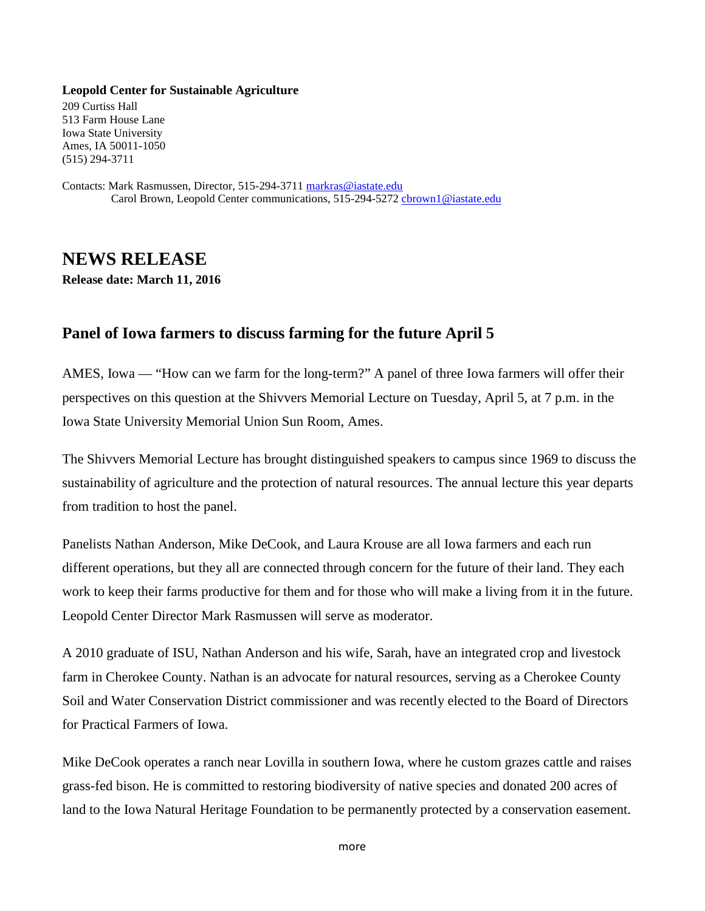## **Leopold Center for Sustainable Agriculture**

209 Curtiss Hall 513 Farm House Lane Iowa State University Ames, IA 50011-1050 (515) 294-3711

Contacts: Mark Rasmussen, Director, 515-294-3711 [markras@iastate.edu](mailto:markras@iastate.edu) Carol Brown, Leopold Center communications, 515-294-527[2 cbrown1@iastate.edu](mailto:cbrown1@iastate.edu)

## **NEWS RELEASE**

**Release date: March 11, 2016**

## **Panel of Iowa farmers to discuss farming for the future April 5**

AMES, Iowa — "How can we farm for the long-term?" A panel of three Iowa farmers will offer their perspectives on this question at the Shivvers Memorial Lecture on Tuesday, April 5, at 7 p.m. in the Iowa State University Memorial Union Sun Room, Ames.

The Shivvers Memorial Lecture has brought distinguished speakers to campus since 1969 to discuss the sustainability of agriculture and the protection of natural resources. The annual lecture this year departs from tradition to host the panel.

Panelists Nathan Anderson, Mike DeCook, and Laura Krouse are all Iowa farmers and each run different operations, but they all are connected through concern for the future of their land. They each work to keep their farms productive for them and for those who will make a living from it in the future. Leopold Center Director Mark Rasmussen will serve as moderator.

A 2010 graduate of ISU, Nathan Anderson and his wife, Sarah, have an integrated crop and livestock farm in Cherokee County. Nathan is an advocate for natural resources, serving as a Cherokee County Soil and Water Conservation District commissioner and was recently elected to the Board of Directors for Practical Farmers of Iowa.

Mike DeCook operates a ranch near Lovilla in southern Iowa, where he custom grazes cattle and raises grass-fed bison. He is committed to restoring biodiversity of native species and donated 200 acres of land to the Iowa Natural Heritage Foundation to be permanently protected by a conservation easement.